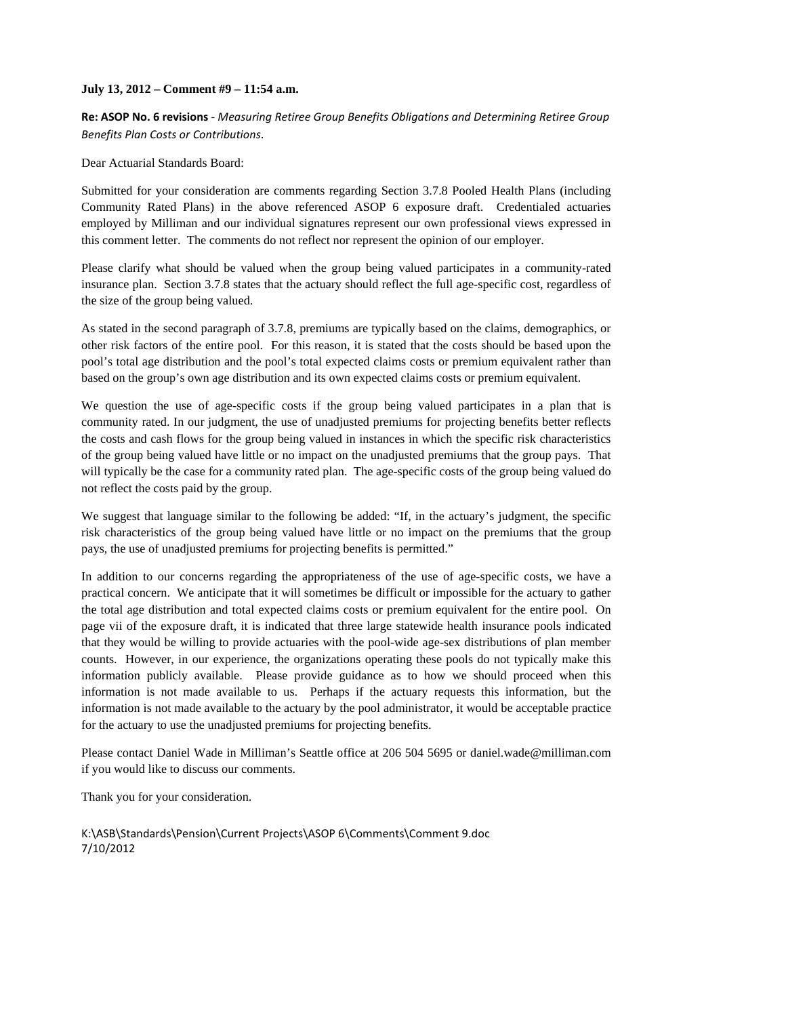## **July 13, 2012 – Comment #9 – 11:54 a.m.**

**Re: ASOP No. 6 revisions** ‐ *Measuring Retiree Group Benefits Obligations and Determining Retiree Group Benefits Plan Costs or Contributions*.

Dear Actuarial Standards Board:

Submitted for your consideration are comments regarding Section 3.7.8 Pooled Health Plans (including Community Rated Plans) in the above referenced ASOP 6 exposure draft. Credentialed actuaries employed by Milliman and our individual signatures represent our own professional views expressed in this comment letter. The comments do not reflect nor represent the opinion of our employer.

Please clarify what should be valued when the group being valued participates in a community-rated insurance plan. Section 3.7.8 states that the actuary should reflect the full age-specific cost, regardless of the size of the group being valued.

As stated in the second paragraph of 3.7.8, premiums are typically based on the claims, demographics, or other risk factors of the entire pool. For this reason, it is stated that the costs should be based upon the pool's total age distribution and the pool's total expected claims costs or premium equivalent rather than based on the group's own age distribution and its own expected claims costs or premium equivalent.

We question the use of age-specific costs if the group being valued participates in a plan that is community rated. In our judgment, the use of unadjusted premiums for projecting benefits better reflects the costs and cash flows for the group being valued in instances in which the specific risk characteristics of the group being valued have little or no impact on the unadjusted premiums that the group pays. That will typically be the case for a community rated plan. The age-specific costs of the group being valued do not reflect the costs paid by the group.

We suggest that language similar to the following be added: "If, in the actuary's judgment, the specific risk characteristics of the group being valued have little or no impact on the premiums that the group pays, the use of unadjusted premiums for projecting benefits is permitted."

In addition to our concerns regarding the appropriateness of the use of age-specific costs, we have a practical concern. We anticipate that it will sometimes be difficult or impossible for the actuary to gather the total age distribution and total expected claims costs or premium equivalent for the entire pool. On page vii of the exposure draft, it is indicated that three large statewide health insurance pools indicated that they would be willing to provide actuaries with the pool-wide age-sex distributions of plan member counts. However, in our experience, the organizations operating these pools do not typically make this information publicly available. Please provide guidance as to how we should proceed when this information is not made available to us. Perhaps if the actuary requests this information, but the information is not made available to the actuary by the pool administrator, it would be acceptable practice for the actuary to use the unadjusted premiums for projecting benefits.

Please contact Daniel Wade in Milliman's Seattle office at 206 504 5695 or daniel.wade@milliman.com if you would like to discuss our comments.

Thank you for your consideration.

K:\ASB\Standards\Pension\Current Projects\ASOP 6\Comments\Comment 9.doc 7/10/2012